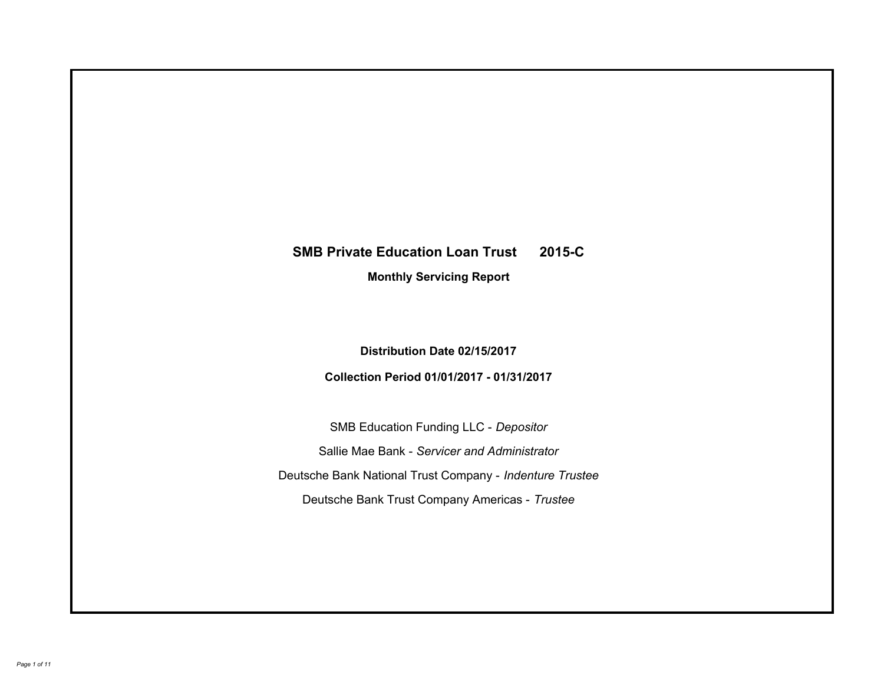# **SMB Private Education Loan Trust 2015-C Monthly Servicing Report**

**Distribution Date 02/15/2017**

**Collection Period 01/01/2017 - 01/31/2017**

SMB Education Funding LLC - *Depositor* Sallie Mae Bank - *Servicer and Administrator* Deutsche Bank National Trust Company - *Indenture Trustee* Deutsche Bank Trust Company Americas - *Trustee*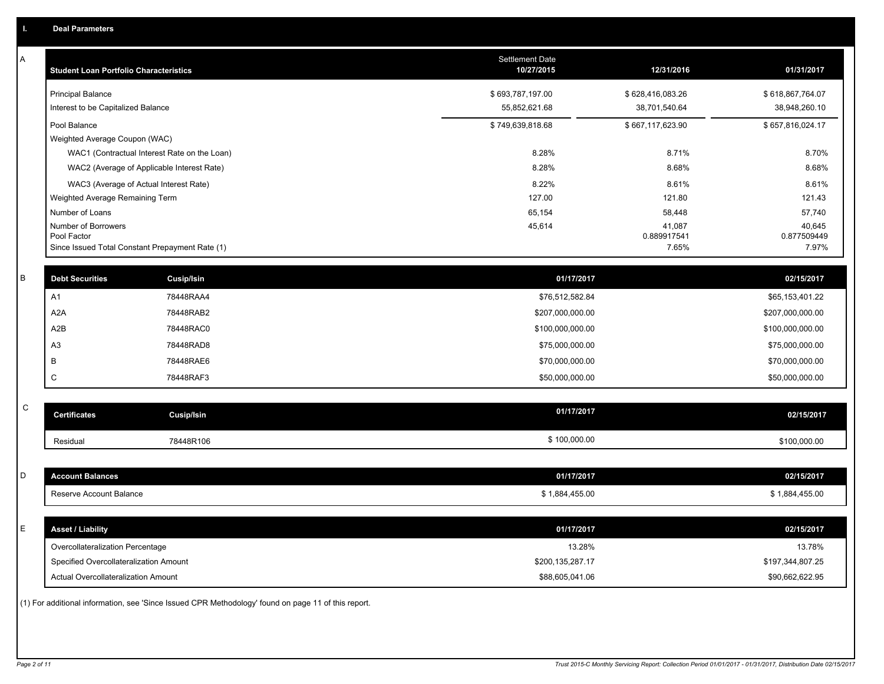| A           | <b>Student Loan Portfolio Characteristics</b> |                                                                                                     | Settlement Date<br>10/27/2015 | 12/31/2016            | 01/31/2017            |
|-------------|-----------------------------------------------|-----------------------------------------------------------------------------------------------------|-------------------------------|-----------------------|-----------------------|
|             | <b>Principal Balance</b>                      |                                                                                                     | \$693,787,197.00              | \$628,416,083.26      | \$618,867,764.07      |
|             | Interest to be Capitalized Balance            |                                                                                                     | 55,852,621.68                 | 38,701,540.64         | 38,948,260.10         |
|             | Pool Balance                                  |                                                                                                     | \$749,639,818.68              | \$667,117,623.90      | \$657,816,024.17      |
|             | Weighted Average Coupon (WAC)                 |                                                                                                     |                               |                       |                       |
|             |                                               | WAC1 (Contractual Interest Rate on the Loan)                                                        | 8.28%                         | 8.71%                 | 8.70%                 |
|             |                                               | WAC2 (Average of Applicable Interest Rate)                                                          | 8.28%                         | 8.68%                 | 8.68%                 |
|             |                                               | WAC3 (Average of Actual Interest Rate)                                                              | 8.22%                         | 8.61%                 | 8.61%                 |
|             | Weighted Average Remaining Term               |                                                                                                     | 127.00                        | 121.80                | 121.43                |
|             | Number of Loans                               |                                                                                                     | 65,154                        | 58,448                | 57,740                |
|             | Number of Borrowers<br>Pool Factor            |                                                                                                     | 45,614                        | 41,087<br>0.889917541 | 40,645<br>0.877509449 |
|             |                                               | Since Issued Total Constant Prepayment Rate (1)                                                     |                               | 7.65%                 | 7.97%                 |
|             |                                               |                                                                                                     |                               |                       |                       |
| B           | <b>Debt Securities</b>                        | <b>Cusip/Isin</b>                                                                                   | 01/17/2017                    |                       | 02/15/2017            |
|             | A1                                            | 78448RAA4                                                                                           | \$76,512,582.84               |                       | \$65,153,401.22       |
|             | A <sub>2</sub> A                              | 78448RAB2                                                                                           | \$207,000,000.00              |                       | \$207,000,000.00      |
|             | A2B                                           | 78448RAC0                                                                                           | \$100,000,000.00              |                       | \$100,000,000.00      |
|             | A <sub>3</sub>                                | 78448RAD8                                                                                           | \$75,000,000.00               |                       | \$75,000,000.00       |
|             | B                                             | 78448RAE6                                                                                           | \$70,000,000.00               |                       | \$70,000,000.00       |
|             | C                                             | 78448RAF3                                                                                           | \$50,000,000.00               |                       | \$50,000,000.00       |
|             |                                               |                                                                                                     |                               |                       |                       |
| $\mathsf C$ | <b>Certificates</b>                           | Cusip/Isin                                                                                          | 01/17/2017                    |                       | 02/15/2017            |
|             | Residual                                      | 78448R106                                                                                           | \$100,000.00                  |                       | \$100,000.00          |
|             |                                               |                                                                                                     |                               |                       |                       |
| D           | <b>Account Balances</b>                       |                                                                                                     | 01/17/2017                    |                       | 02/15/2017            |
|             | Reserve Account Balance                       |                                                                                                     | \$1,884,455.00                |                       | \$1,884,455.00        |
|             |                                               |                                                                                                     |                               |                       |                       |
| E           | <b>Asset / Liability</b>                      |                                                                                                     | 01/17/2017                    |                       | 02/15/2017            |
|             | Overcollateralization Percentage              |                                                                                                     | 13.28%                        |                       | 13.78%                |
|             | Specified Overcollateralization Amount        |                                                                                                     | \$200,135,287.17              |                       | \$197,344,807.25      |
|             | Actual Overcollateralization Amount           |                                                                                                     | \$88,605,041.06               |                       | \$90,662,622.95       |
|             |                                               | (1) For additional information, see 'Since Issued CPR Methodology' found on page 11 of this report. |                               |                       |                       |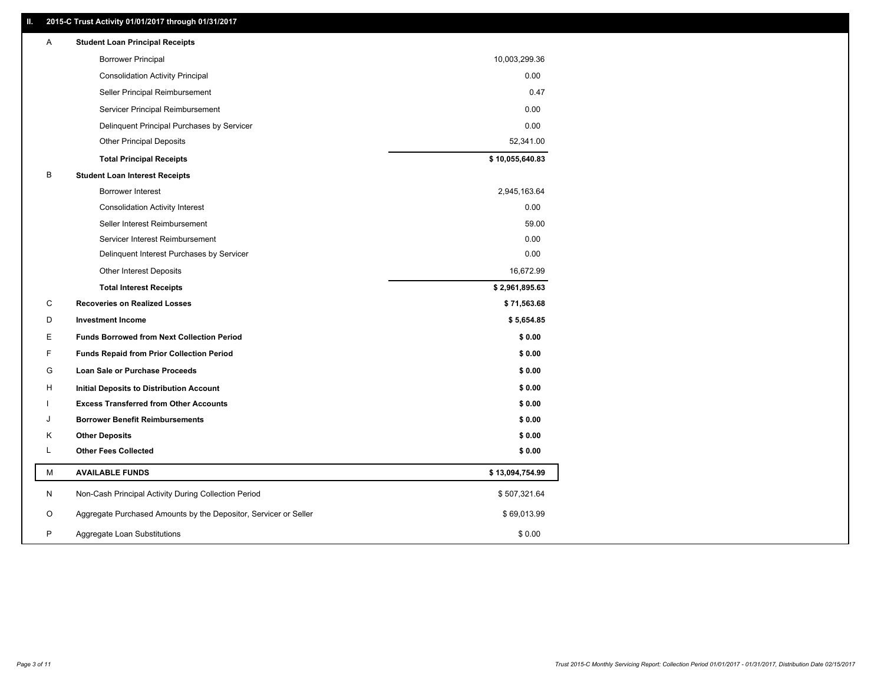### **II. 2015-C Trust Activity 01/01/2017 through 01/31/2017**

| <b>Borrower Principal</b><br>10,003,299.36<br>0.00<br><b>Consolidation Activity Principal</b><br>Seller Principal Reimbursement<br>0.47<br>Servicer Principal Reimbursement<br>0.00<br>0.00<br>Delinquent Principal Purchases by Servicer<br><b>Other Principal Deposits</b><br>52,341.00<br>\$10,055,640.83<br><b>Total Principal Receipts</b><br>B<br><b>Student Loan Interest Receipts</b><br>Borrower Interest<br>2,945,163.64<br>0.00<br><b>Consolidation Activity Interest</b><br>Seller Interest Reimbursement<br>59.00<br>0.00<br>Servicer Interest Reimbursement<br>0.00<br>Delinquent Interest Purchases by Servicer<br><b>Other Interest Deposits</b><br>16,672.99<br>\$2,961,895.63<br><b>Total Interest Receipts</b><br>C<br>\$71,563.68<br><b>Recoveries on Realized Losses</b><br>D<br><b>Investment Income</b><br>\$5,654.85<br>Е<br><b>Funds Borrowed from Next Collection Period</b><br>\$0.00<br>F<br><b>Funds Repaid from Prior Collection Period</b><br>\$0.00<br>G<br>\$0.00<br>Loan Sale or Purchase Proceeds<br>\$0.00<br>н<br>Initial Deposits to Distribution Account<br>\$0.00<br><b>Excess Transferred from Other Accounts</b><br><b>Borrower Benefit Reimbursements</b><br>\$0.00<br>J<br><b>Other Deposits</b><br>\$0.00<br>Κ<br><b>Other Fees Collected</b><br>L<br>\$0.00<br>М<br><b>AVAILABLE FUNDS</b><br>\$13,094,754.99<br>N<br>Non-Cash Principal Activity During Collection Period<br>\$507,321.64<br>O<br>Aggregate Purchased Amounts by the Depositor, Servicer or Seller<br>\$69,013.99<br>P<br>\$0.00<br>Aggregate Loan Substitutions | Α | <b>Student Loan Principal Receipts</b> |  |
|---------------------------------------------------------------------------------------------------------------------------------------------------------------------------------------------------------------------------------------------------------------------------------------------------------------------------------------------------------------------------------------------------------------------------------------------------------------------------------------------------------------------------------------------------------------------------------------------------------------------------------------------------------------------------------------------------------------------------------------------------------------------------------------------------------------------------------------------------------------------------------------------------------------------------------------------------------------------------------------------------------------------------------------------------------------------------------------------------------------------------------------------------------------------------------------------------------------------------------------------------------------------------------------------------------------------------------------------------------------------------------------------------------------------------------------------------------------------------------------------------------------------------------------------------------------------------------|---|----------------------------------------|--|
|                                                                                                                                                                                                                                                                                                                                                                                                                                                                                                                                                                                                                                                                                                                                                                                                                                                                                                                                                                                                                                                                                                                                                                                                                                                                                                                                                                                                                                                                                                                                                                                 |   |                                        |  |
|                                                                                                                                                                                                                                                                                                                                                                                                                                                                                                                                                                                                                                                                                                                                                                                                                                                                                                                                                                                                                                                                                                                                                                                                                                                                                                                                                                                                                                                                                                                                                                                 |   |                                        |  |
|                                                                                                                                                                                                                                                                                                                                                                                                                                                                                                                                                                                                                                                                                                                                                                                                                                                                                                                                                                                                                                                                                                                                                                                                                                                                                                                                                                                                                                                                                                                                                                                 |   |                                        |  |
|                                                                                                                                                                                                                                                                                                                                                                                                                                                                                                                                                                                                                                                                                                                                                                                                                                                                                                                                                                                                                                                                                                                                                                                                                                                                                                                                                                                                                                                                                                                                                                                 |   |                                        |  |
|                                                                                                                                                                                                                                                                                                                                                                                                                                                                                                                                                                                                                                                                                                                                                                                                                                                                                                                                                                                                                                                                                                                                                                                                                                                                                                                                                                                                                                                                                                                                                                                 |   |                                        |  |
|                                                                                                                                                                                                                                                                                                                                                                                                                                                                                                                                                                                                                                                                                                                                                                                                                                                                                                                                                                                                                                                                                                                                                                                                                                                                                                                                                                                                                                                                                                                                                                                 |   |                                        |  |
|                                                                                                                                                                                                                                                                                                                                                                                                                                                                                                                                                                                                                                                                                                                                                                                                                                                                                                                                                                                                                                                                                                                                                                                                                                                                                                                                                                                                                                                                                                                                                                                 |   |                                        |  |
|                                                                                                                                                                                                                                                                                                                                                                                                                                                                                                                                                                                                                                                                                                                                                                                                                                                                                                                                                                                                                                                                                                                                                                                                                                                                                                                                                                                                                                                                                                                                                                                 |   |                                        |  |
|                                                                                                                                                                                                                                                                                                                                                                                                                                                                                                                                                                                                                                                                                                                                                                                                                                                                                                                                                                                                                                                                                                                                                                                                                                                                                                                                                                                                                                                                                                                                                                                 |   |                                        |  |
|                                                                                                                                                                                                                                                                                                                                                                                                                                                                                                                                                                                                                                                                                                                                                                                                                                                                                                                                                                                                                                                                                                                                                                                                                                                                                                                                                                                                                                                                                                                                                                                 |   |                                        |  |
|                                                                                                                                                                                                                                                                                                                                                                                                                                                                                                                                                                                                                                                                                                                                                                                                                                                                                                                                                                                                                                                                                                                                                                                                                                                                                                                                                                                                                                                                                                                                                                                 |   |                                        |  |
|                                                                                                                                                                                                                                                                                                                                                                                                                                                                                                                                                                                                                                                                                                                                                                                                                                                                                                                                                                                                                                                                                                                                                                                                                                                                                                                                                                                                                                                                                                                                                                                 |   |                                        |  |
|                                                                                                                                                                                                                                                                                                                                                                                                                                                                                                                                                                                                                                                                                                                                                                                                                                                                                                                                                                                                                                                                                                                                                                                                                                                                                                                                                                                                                                                                                                                                                                                 |   |                                        |  |
|                                                                                                                                                                                                                                                                                                                                                                                                                                                                                                                                                                                                                                                                                                                                                                                                                                                                                                                                                                                                                                                                                                                                                                                                                                                                                                                                                                                                                                                                                                                                                                                 |   |                                        |  |
|                                                                                                                                                                                                                                                                                                                                                                                                                                                                                                                                                                                                                                                                                                                                                                                                                                                                                                                                                                                                                                                                                                                                                                                                                                                                                                                                                                                                                                                                                                                                                                                 |   |                                        |  |
|                                                                                                                                                                                                                                                                                                                                                                                                                                                                                                                                                                                                                                                                                                                                                                                                                                                                                                                                                                                                                                                                                                                                                                                                                                                                                                                                                                                                                                                                                                                                                                                 |   |                                        |  |
|                                                                                                                                                                                                                                                                                                                                                                                                                                                                                                                                                                                                                                                                                                                                                                                                                                                                                                                                                                                                                                                                                                                                                                                                                                                                                                                                                                                                                                                                                                                                                                                 |   |                                        |  |
|                                                                                                                                                                                                                                                                                                                                                                                                                                                                                                                                                                                                                                                                                                                                                                                                                                                                                                                                                                                                                                                                                                                                                                                                                                                                                                                                                                                                                                                                                                                                                                                 |   |                                        |  |
|                                                                                                                                                                                                                                                                                                                                                                                                                                                                                                                                                                                                                                                                                                                                                                                                                                                                                                                                                                                                                                                                                                                                                                                                                                                                                                                                                                                                                                                                                                                                                                                 |   |                                        |  |
|                                                                                                                                                                                                                                                                                                                                                                                                                                                                                                                                                                                                                                                                                                                                                                                                                                                                                                                                                                                                                                                                                                                                                                                                                                                                                                                                                                                                                                                                                                                                                                                 |   |                                        |  |
|                                                                                                                                                                                                                                                                                                                                                                                                                                                                                                                                                                                                                                                                                                                                                                                                                                                                                                                                                                                                                                                                                                                                                                                                                                                                                                                                                                                                                                                                                                                                                                                 |   |                                        |  |
|                                                                                                                                                                                                                                                                                                                                                                                                                                                                                                                                                                                                                                                                                                                                                                                                                                                                                                                                                                                                                                                                                                                                                                                                                                                                                                                                                                                                                                                                                                                                                                                 |   |                                        |  |
|                                                                                                                                                                                                                                                                                                                                                                                                                                                                                                                                                                                                                                                                                                                                                                                                                                                                                                                                                                                                                                                                                                                                                                                                                                                                                                                                                                                                                                                                                                                                                                                 |   |                                        |  |
|                                                                                                                                                                                                                                                                                                                                                                                                                                                                                                                                                                                                                                                                                                                                                                                                                                                                                                                                                                                                                                                                                                                                                                                                                                                                                                                                                                                                                                                                                                                                                                                 |   |                                        |  |
|                                                                                                                                                                                                                                                                                                                                                                                                                                                                                                                                                                                                                                                                                                                                                                                                                                                                                                                                                                                                                                                                                                                                                                                                                                                                                                                                                                                                                                                                                                                                                                                 |   |                                        |  |
|                                                                                                                                                                                                                                                                                                                                                                                                                                                                                                                                                                                                                                                                                                                                                                                                                                                                                                                                                                                                                                                                                                                                                                                                                                                                                                                                                                                                                                                                                                                                                                                 |   |                                        |  |
|                                                                                                                                                                                                                                                                                                                                                                                                                                                                                                                                                                                                                                                                                                                                                                                                                                                                                                                                                                                                                                                                                                                                                                                                                                                                                                                                                                                                                                                                                                                                                                                 |   |                                        |  |
|                                                                                                                                                                                                                                                                                                                                                                                                                                                                                                                                                                                                                                                                                                                                                                                                                                                                                                                                                                                                                                                                                                                                                                                                                                                                                                                                                                                                                                                                                                                                                                                 |   |                                        |  |
|                                                                                                                                                                                                                                                                                                                                                                                                                                                                                                                                                                                                                                                                                                                                                                                                                                                                                                                                                                                                                                                                                                                                                                                                                                                                                                                                                                                                                                                                                                                                                                                 |   |                                        |  |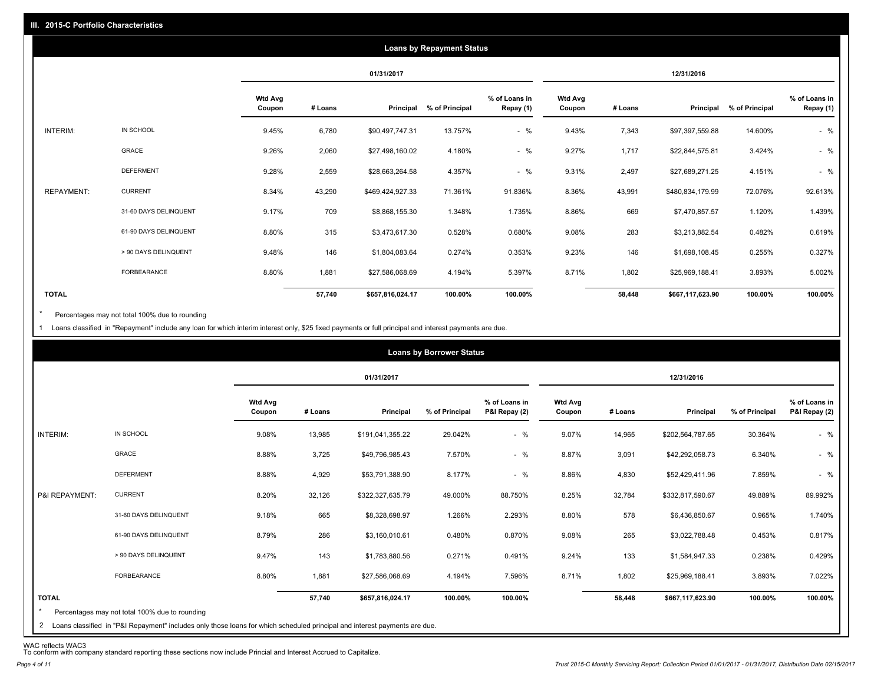|                   |                       |                   |         |                  | <b>Loans by Repayment Status</b> |                            |                          |         |                  |                |                            |
|-------------------|-----------------------|-------------------|---------|------------------|----------------------------------|----------------------------|--------------------------|---------|------------------|----------------|----------------------------|
|                   |                       |                   |         | 01/31/2017       |                                  |                            |                          |         | 12/31/2016       |                |                            |
|                   |                       | Wtd Avg<br>Coupon | # Loans | Principal        | % of Principal                   | % of Loans in<br>Repay (1) | <b>Wtd Avg</b><br>Coupon | # Loans | Principal        | % of Principal | % of Loans in<br>Repay (1) |
| INTERIM:          | IN SCHOOL             | 9.45%             | 6,780   | \$90,497,747.31  | 13.757%                          | $-$ %                      | 9.43%                    | 7,343   | \$97,397,559.88  | 14.600%        | $-$ %                      |
|                   | GRACE                 | 9.26%             | 2,060   | \$27,498,160.02  | 4.180%                           | $-$ %                      | 9.27%                    | 1,717   | \$22,844,575.81  | 3.424%         | $-$ %                      |
|                   | <b>DEFERMENT</b>      | 9.28%             | 2,559   | \$28,663,264.58  | 4.357%                           | $-$ %                      | 9.31%                    | 2,497   | \$27,689,271.25  | 4.151%         | $-$ %                      |
| <b>REPAYMENT:</b> | <b>CURRENT</b>        | 8.34%             | 43,290  | \$469,424,927.33 | 71.361%                          | 91.836%                    | 8.36%                    | 43,991  | \$480,834,179.99 | 72.076%        | 92.613%                    |
|                   | 31-60 DAYS DELINQUENT | 9.17%             | 709     | \$8,868,155.30   | 1.348%                           | 1.735%                     | 8.86%                    | 669     | \$7,470,857.57   | 1.120%         | 1.439%                     |
|                   | 61-90 DAYS DELINQUENT | 8.80%             | 315     | \$3,473,617.30   | 0.528%                           | 0.680%                     | 9.08%                    | 283     | \$3,213,882.54   | 0.482%         | 0.619%                     |
|                   | > 90 DAYS DELINQUENT  | 9.48%             | 146     | \$1,804,083.64   | 0.274%                           | 0.353%                     | 9.23%                    | 146     | \$1,698,108.45   | 0.255%         | 0.327%                     |
|                   | FORBEARANCE           | 8.80%             | 1,881   | \$27,586,068.69  | 4.194%                           | 5.397%                     | 8.71%                    | 1,802   | \$25,969,188.41  | 3.893%         | 5.002%                     |
| <b>TOTAL</b>      |                       |                   | 57,740  | \$657,816,024.17 | 100.00%                          | 100.00%                    |                          | 58,448  | \$667,117,623.90 | 100.00%        | 100.00%                    |

Percentages may not total 100% due to rounding \*

1 Loans classified in "Repayment" include any loan for which interim interest only, \$25 fixed payments or full principal and interest payments are due.

|                         |                                                                                                                              |                          |         |                  | <b>Loans by Borrower Status</b> |                                |                          |         |                  |                |                                |
|-------------------------|------------------------------------------------------------------------------------------------------------------------------|--------------------------|---------|------------------|---------------------------------|--------------------------------|--------------------------|---------|------------------|----------------|--------------------------------|
|                         |                                                                                                                              |                          |         | 01/31/2017       |                                 |                                |                          |         | 12/31/2016       |                |                                |
|                         |                                                                                                                              | <b>Wtd Avg</b><br>Coupon | # Loans | Principal        | % of Principal                  | % of Loans in<br>P&I Repay (2) | <b>Wtd Avg</b><br>Coupon | # Loans | Principal        | % of Principal | % of Loans in<br>P&I Repay (2) |
| INTERIM:                | IN SCHOOL                                                                                                                    | 9.08%                    | 13,985  | \$191,041,355.22 | 29.042%                         | $-$ %                          | 9.07%                    | 14,965  | \$202,564,787.65 | 30.364%        | $-$ %                          |
|                         | <b>GRACE</b>                                                                                                                 | 8.88%                    | 3,725   | \$49,796,985.43  | 7.570%                          | $-$ %                          | 8.87%                    | 3,091   | \$42,292,058.73  | 6.340%         | $-$ %                          |
|                         | <b>DEFERMENT</b>                                                                                                             | 8.88%                    | 4,929   | \$53,791,388.90  | 8.177%                          | $-$ %                          | 8.86%                    | 4,830   | \$52,429,411.96  | 7.859%         | $-$ %                          |
| P&I REPAYMENT:          | <b>CURRENT</b>                                                                                                               | 8.20%                    | 32,126  | \$322,327,635.79 | 49.000%                         | 88.750%                        | 8.25%                    | 32,784  | \$332,817,590.67 | 49.889%        | 89.992%                        |
|                         | 31-60 DAYS DELINQUENT                                                                                                        | 9.18%                    | 665     | \$8,328,698.97   | 1.266%                          | 2.293%                         | 8.80%                    | 578     | \$6,436,850.67   | 0.965%         | 1.740%                         |
|                         | 61-90 DAYS DELINQUENT                                                                                                        | 8.79%                    | 286     | \$3,160,010.61   | 0.480%                          | 0.870%                         | 9.08%                    | 265     | \$3,022,788.48   | 0.453%         | 0.817%                         |
|                         | > 90 DAYS DELINQUENT                                                                                                         | 9.47%                    | 143     | \$1,783,880.56   | 0.271%                          | 0.491%                         | 9.24%                    | 133     | \$1,584,947.33   | 0.238%         | 0.429%                         |
|                         | FORBEARANCE                                                                                                                  | 8.80%                    | 1,881   | \$27,586,068.69  | 4.194%                          | 7.596%                         | 8.71%                    | 1,802   | \$25,969,188.41  | 3.893%         | 7.022%                         |
| <b>TOTAL</b><br>$\star$ | Percentages may not total 100% due to rounding                                                                               |                          | 57,740  | \$657,816,024.17 | 100.00%                         | 100.00%                        |                          | 58,448  | \$667,117,623.90 | 100.00%        | 100.00%                        |
|                         | 2 Loans classified in "P&I Repayment" includes only those loans for which scheduled principal and interest payments are due. |                          |         |                  |                                 |                                |                          |         |                  |                |                                |

WAC reflects WAC3 To conform with company standard reporting these sections now include Princial and Interest Accrued to Capitalize.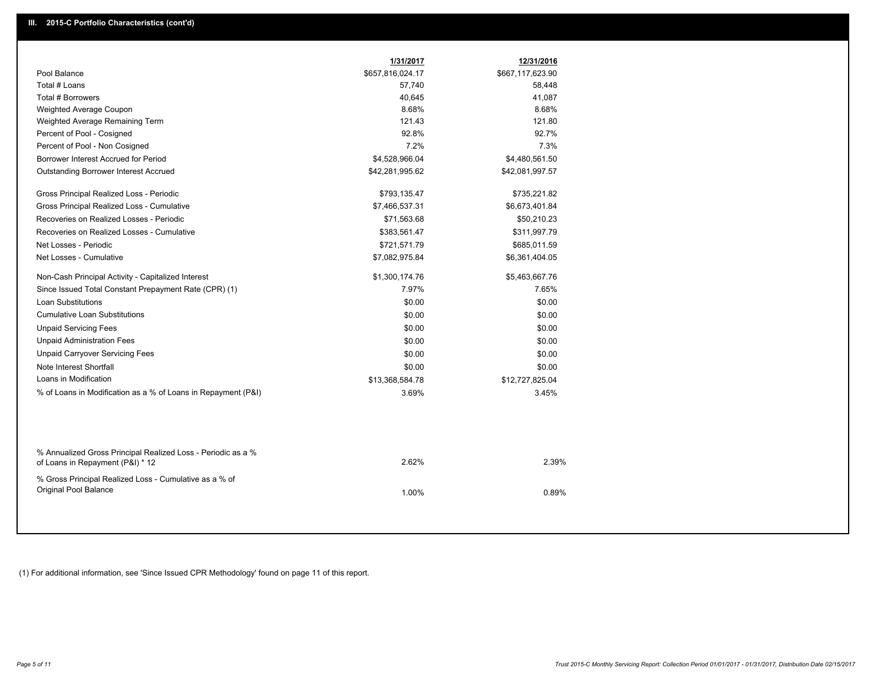| Pool Balance<br>\$657,816,024.17<br>\$667,117,623.90<br>Total # Loans<br>57,740<br>58,448<br>Total # Borrowers<br>40,645<br>41,087<br>8.68%<br>8.68%<br>Weighted Average Coupon<br>121.43<br>121.80<br>Weighted Average Remaining Term<br>92.8%<br>92.7%<br>Percent of Pool - Cosigned<br>7.2%<br>7.3%<br>Percent of Pool - Non Cosigned<br>Borrower Interest Accrued for Period<br>\$4,480,561.50<br>\$4,528,966.04<br>Outstanding Borrower Interest Accrued<br>\$42,281,995.62<br>\$42,081,997.57<br>Gross Principal Realized Loss - Periodic<br>\$793,135.47<br>\$735,221.82<br>Gross Principal Realized Loss - Cumulative<br>\$7,466,537.31<br>\$6,673,401.84<br>Recoveries on Realized Losses - Periodic<br>\$71,563.68<br>\$50,210.23<br>Recoveries on Realized Losses - Cumulative<br>\$383,561.47<br>\$311,997.79<br>Net Losses - Periodic<br>\$721,571.79<br>\$685,011.59<br>Net Losses - Cumulative<br>\$7,082,975.84<br>\$6,361,404.05<br>Non-Cash Principal Activity - Capitalized Interest<br>\$1,300,174.76<br>\$5,463,667.76<br>7.97%<br>Since Issued Total Constant Prepayment Rate (CPR) (1)<br>7.65%<br><b>Loan Substitutions</b><br>\$0.00<br>\$0.00<br><b>Cumulative Loan Substitutions</b><br>\$0.00<br>\$0.00<br><b>Unpaid Servicing Fees</b><br>\$0.00<br>\$0.00<br><b>Unpaid Administration Fees</b><br>\$0.00<br>\$0.00<br><b>Unpaid Carryover Servicing Fees</b><br>\$0.00<br>\$0.00<br>Note Interest Shortfall<br>\$0.00<br>\$0.00<br>Loans in Modification<br>\$13,368,584.78<br>\$12,727,825.04<br>% of Loans in Modification as a % of Loans in Repayment (P&I)<br>3.69%<br>3.45%<br>% Annualized Gross Principal Realized Loss - Periodic as a %<br>2.62%<br>2.39%<br>of Loans in Repayment (P&I) * 12<br>% Gross Principal Realized Loss - Cumulative as a % of<br>Original Pool Balance<br>1.00%<br>0.89% | 1/31/2017 | 12/31/2016 |  |
|--------------------------------------------------------------------------------------------------------------------------------------------------------------------------------------------------------------------------------------------------------------------------------------------------------------------------------------------------------------------------------------------------------------------------------------------------------------------------------------------------------------------------------------------------------------------------------------------------------------------------------------------------------------------------------------------------------------------------------------------------------------------------------------------------------------------------------------------------------------------------------------------------------------------------------------------------------------------------------------------------------------------------------------------------------------------------------------------------------------------------------------------------------------------------------------------------------------------------------------------------------------------------------------------------------------------------------------------------------------------------------------------------------------------------------------------------------------------------------------------------------------------------------------------------------------------------------------------------------------------------------------------------------------------------------------------------------------------------------------------------------------------------------------------------------------------------------------------|-----------|------------|--|
|                                                                                                                                                                                                                                                                                                                                                                                                                                                                                                                                                                                                                                                                                                                                                                                                                                                                                                                                                                                                                                                                                                                                                                                                                                                                                                                                                                                                                                                                                                                                                                                                                                                                                                                                                                                                                                            |           |            |  |
|                                                                                                                                                                                                                                                                                                                                                                                                                                                                                                                                                                                                                                                                                                                                                                                                                                                                                                                                                                                                                                                                                                                                                                                                                                                                                                                                                                                                                                                                                                                                                                                                                                                                                                                                                                                                                                            |           |            |  |
|                                                                                                                                                                                                                                                                                                                                                                                                                                                                                                                                                                                                                                                                                                                                                                                                                                                                                                                                                                                                                                                                                                                                                                                                                                                                                                                                                                                                                                                                                                                                                                                                                                                                                                                                                                                                                                            |           |            |  |
|                                                                                                                                                                                                                                                                                                                                                                                                                                                                                                                                                                                                                                                                                                                                                                                                                                                                                                                                                                                                                                                                                                                                                                                                                                                                                                                                                                                                                                                                                                                                                                                                                                                                                                                                                                                                                                            |           |            |  |
|                                                                                                                                                                                                                                                                                                                                                                                                                                                                                                                                                                                                                                                                                                                                                                                                                                                                                                                                                                                                                                                                                                                                                                                                                                                                                                                                                                                                                                                                                                                                                                                                                                                                                                                                                                                                                                            |           |            |  |
|                                                                                                                                                                                                                                                                                                                                                                                                                                                                                                                                                                                                                                                                                                                                                                                                                                                                                                                                                                                                                                                                                                                                                                                                                                                                                                                                                                                                                                                                                                                                                                                                                                                                                                                                                                                                                                            |           |            |  |
|                                                                                                                                                                                                                                                                                                                                                                                                                                                                                                                                                                                                                                                                                                                                                                                                                                                                                                                                                                                                                                                                                                                                                                                                                                                                                                                                                                                                                                                                                                                                                                                                                                                                                                                                                                                                                                            |           |            |  |
|                                                                                                                                                                                                                                                                                                                                                                                                                                                                                                                                                                                                                                                                                                                                                                                                                                                                                                                                                                                                                                                                                                                                                                                                                                                                                                                                                                                                                                                                                                                                                                                                                                                                                                                                                                                                                                            |           |            |  |
|                                                                                                                                                                                                                                                                                                                                                                                                                                                                                                                                                                                                                                                                                                                                                                                                                                                                                                                                                                                                                                                                                                                                                                                                                                                                                                                                                                                                                                                                                                                                                                                                                                                                                                                                                                                                                                            |           |            |  |
|                                                                                                                                                                                                                                                                                                                                                                                                                                                                                                                                                                                                                                                                                                                                                                                                                                                                                                                                                                                                                                                                                                                                                                                                                                                                                                                                                                                                                                                                                                                                                                                                                                                                                                                                                                                                                                            |           |            |  |
|                                                                                                                                                                                                                                                                                                                                                                                                                                                                                                                                                                                                                                                                                                                                                                                                                                                                                                                                                                                                                                                                                                                                                                                                                                                                                                                                                                                                                                                                                                                                                                                                                                                                                                                                                                                                                                            |           |            |  |
|                                                                                                                                                                                                                                                                                                                                                                                                                                                                                                                                                                                                                                                                                                                                                                                                                                                                                                                                                                                                                                                                                                                                                                                                                                                                                                                                                                                                                                                                                                                                                                                                                                                                                                                                                                                                                                            |           |            |  |
|                                                                                                                                                                                                                                                                                                                                                                                                                                                                                                                                                                                                                                                                                                                                                                                                                                                                                                                                                                                                                                                                                                                                                                                                                                                                                                                                                                                                                                                                                                                                                                                                                                                                                                                                                                                                                                            |           |            |  |
|                                                                                                                                                                                                                                                                                                                                                                                                                                                                                                                                                                                                                                                                                                                                                                                                                                                                                                                                                                                                                                                                                                                                                                                                                                                                                                                                                                                                                                                                                                                                                                                                                                                                                                                                                                                                                                            |           |            |  |
|                                                                                                                                                                                                                                                                                                                                                                                                                                                                                                                                                                                                                                                                                                                                                                                                                                                                                                                                                                                                                                                                                                                                                                                                                                                                                                                                                                                                                                                                                                                                                                                                                                                                                                                                                                                                                                            |           |            |  |
|                                                                                                                                                                                                                                                                                                                                                                                                                                                                                                                                                                                                                                                                                                                                                                                                                                                                                                                                                                                                                                                                                                                                                                                                                                                                                                                                                                                                                                                                                                                                                                                                                                                                                                                                                                                                                                            |           |            |  |
|                                                                                                                                                                                                                                                                                                                                                                                                                                                                                                                                                                                                                                                                                                                                                                                                                                                                                                                                                                                                                                                                                                                                                                                                                                                                                                                                                                                                                                                                                                                                                                                                                                                                                                                                                                                                                                            |           |            |  |
|                                                                                                                                                                                                                                                                                                                                                                                                                                                                                                                                                                                                                                                                                                                                                                                                                                                                                                                                                                                                                                                                                                                                                                                                                                                                                                                                                                                                                                                                                                                                                                                                                                                                                                                                                                                                                                            |           |            |  |
|                                                                                                                                                                                                                                                                                                                                                                                                                                                                                                                                                                                                                                                                                                                                                                                                                                                                                                                                                                                                                                                                                                                                                                                                                                                                                                                                                                                                                                                                                                                                                                                                                                                                                                                                                                                                                                            |           |            |  |
|                                                                                                                                                                                                                                                                                                                                                                                                                                                                                                                                                                                                                                                                                                                                                                                                                                                                                                                                                                                                                                                                                                                                                                                                                                                                                                                                                                                                                                                                                                                                                                                                                                                                                                                                                                                                                                            |           |            |  |
|                                                                                                                                                                                                                                                                                                                                                                                                                                                                                                                                                                                                                                                                                                                                                                                                                                                                                                                                                                                                                                                                                                                                                                                                                                                                                                                                                                                                                                                                                                                                                                                                                                                                                                                                                                                                                                            |           |            |  |
|                                                                                                                                                                                                                                                                                                                                                                                                                                                                                                                                                                                                                                                                                                                                                                                                                                                                                                                                                                                                                                                                                                                                                                                                                                                                                                                                                                                                                                                                                                                                                                                                                                                                                                                                                                                                                                            |           |            |  |
|                                                                                                                                                                                                                                                                                                                                                                                                                                                                                                                                                                                                                                                                                                                                                                                                                                                                                                                                                                                                                                                                                                                                                                                                                                                                                                                                                                                                                                                                                                                                                                                                                                                                                                                                                                                                                                            |           |            |  |
|                                                                                                                                                                                                                                                                                                                                                                                                                                                                                                                                                                                                                                                                                                                                                                                                                                                                                                                                                                                                                                                                                                                                                                                                                                                                                                                                                                                                                                                                                                                                                                                                                                                                                                                                                                                                                                            |           |            |  |
|                                                                                                                                                                                                                                                                                                                                                                                                                                                                                                                                                                                                                                                                                                                                                                                                                                                                                                                                                                                                                                                                                                                                                                                                                                                                                                                                                                                                                                                                                                                                                                                                                                                                                                                                                                                                                                            |           |            |  |
|                                                                                                                                                                                                                                                                                                                                                                                                                                                                                                                                                                                                                                                                                                                                                                                                                                                                                                                                                                                                                                                                                                                                                                                                                                                                                                                                                                                                                                                                                                                                                                                                                                                                                                                                                                                                                                            |           |            |  |
|                                                                                                                                                                                                                                                                                                                                                                                                                                                                                                                                                                                                                                                                                                                                                                                                                                                                                                                                                                                                                                                                                                                                                                                                                                                                                                                                                                                                                                                                                                                                                                                                                                                                                                                                                                                                                                            |           |            |  |
|                                                                                                                                                                                                                                                                                                                                                                                                                                                                                                                                                                                                                                                                                                                                                                                                                                                                                                                                                                                                                                                                                                                                                                                                                                                                                                                                                                                                                                                                                                                                                                                                                                                                                                                                                                                                                                            |           |            |  |

(1) For additional information, see 'Since Issued CPR Methodology' found on page 11 of this report.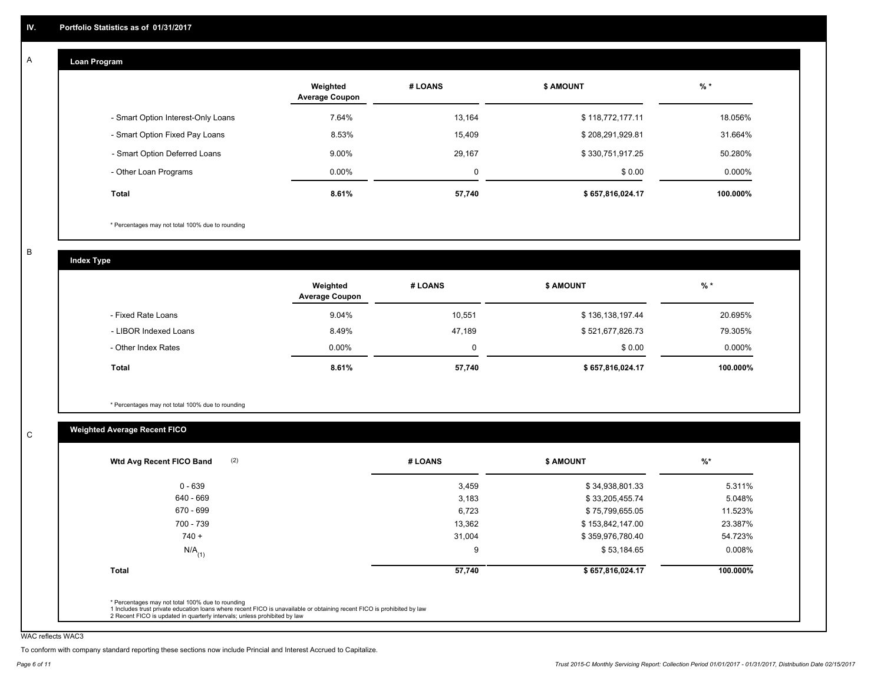#### **Loan Program**  A

|                                    | Weighted<br><b>Average Coupon</b> | # LOANS | <b>S AMOUNT</b>  | $%$ *    |
|------------------------------------|-----------------------------------|---------|------------------|----------|
| - Smart Option Interest-Only Loans | 7.64%                             | 13,164  | \$118,772,177.11 | 18.056%  |
| - Smart Option Fixed Pay Loans     | 8.53%                             | 15,409  | \$208,291,929.81 | 31.664%  |
| - Smart Option Deferred Loans      | $9.00\%$                          | 29,167  | \$330,751,917.25 | 50.280%  |
| - Other Loan Programs              | $0.00\%$                          | 0       | \$0.00           | 0.000%   |
| Total                              | 8.61%                             | 57,740  | \$657,816,024.17 | 100.000% |

\* Percentages may not total 100% due to rounding

B

C

**Index Type**

|                       | Weighted<br><b>Average Coupon</b> | # LOANS | <b>\$ AMOUNT</b> | $%$ *     |
|-----------------------|-----------------------------------|---------|------------------|-----------|
| - Fixed Rate Loans    | 9.04%                             | 10,551  | \$136,138,197.44 | 20.695%   |
| - LIBOR Indexed Loans | 8.49%                             | 47.189  | \$521,677,826.73 | 79.305%   |
| - Other Index Rates   | $0.00\%$                          |         | \$0.00           | $0.000\%$ |
| Total                 | 8.61%                             | 57,740  | \$657,816,024.17 | 100.000%  |

\* Percentages may not total 100% due to rounding

## **Weighted Average Recent FICO**

| $0 - 639$<br>640 - 669 | 3,459<br>3,183 | \$34,938,801.33  | 5.311%   |
|------------------------|----------------|------------------|----------|
|                        |                |                  |          |
|                        |                | \$33,205,455.74  | 5.048%   |
| 670 - 699              | 6,723          | \$75,799,655.05  | 11.523%  |
| 700 - 739              | 13,362         | \$153,842,147.00 | 23.387%  |
| $740 +$                | 31,004         | \$359,976,780.40 | 54.723%  |
| $N/A$ <sub>(1)</sub>   | 9              | \$53,184.65      | 0.008%   |
| <b>Total</b>           | 57,740         | \$657,816,024.17 | 100.000% |

WAC reflects WAC3

To conform with company standard reporting these sections now include Princial and Interest Accrued to Capitalize.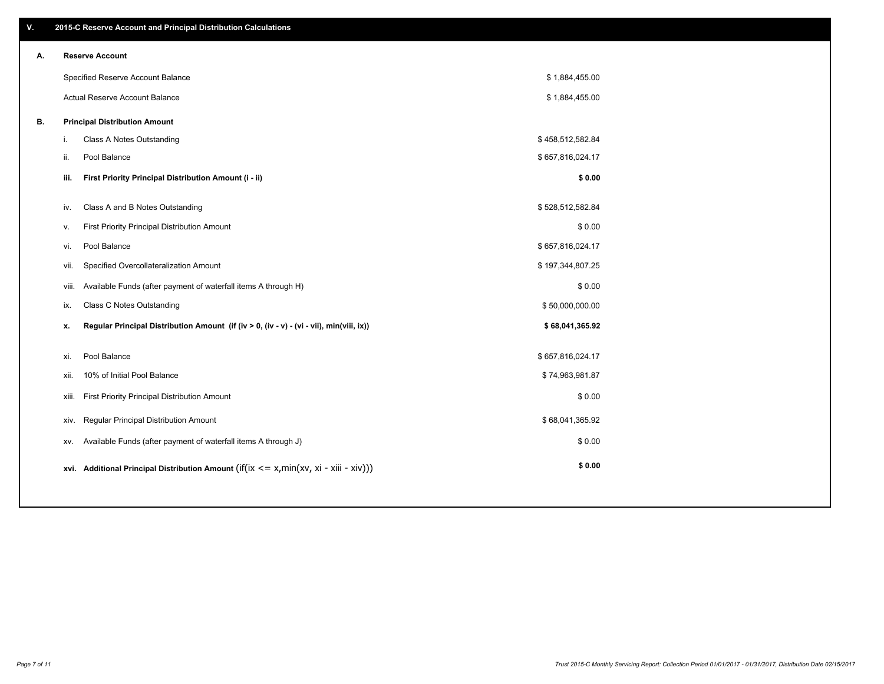| ۷. |       | 2015-C Reserve Account and Principal Distribution Calculations                                      |                  |  |
|----|-------|-----------------------------------------------------------------------------------------------------|------------------|--|
| А. |       | <b>Reserve Account</b>                                                                              |                  |  |
|    |       | Specified Reserve Account Balance                                                                   | \$1,884,455.00   |  |
|    |       | Actual Reserve Account Balance                                                                      | \$1,884,455.00   |  |
| В. |       | <b>Principal Distribution Amount</b>                                                                |                  |  |
|    | i.    | Class A Notes Outstanding                                                                           | \$458,512,582.84 |  |
|    | ii.   | Pool Balance                                                                                        | \$657,816,024.17 |  |
|    | iii.  | First Priority Principal Distribution Amount (i - ii)                                               | \$0.00           |  |
|    |       |                                                                                                     |                  |  |
|    | iv.   | Class A and B Notes Outstanding                                                                     | \$528,512,582.84 |  |
|    | v.    | First Priority Principal Distribution Amount                                                        | \$0.00           |  |
|    | vi.   | Pool Balance                                                                                        | \$657,816,024.17 |  |
|    | vii.  | Specified Overcollateralization Amount                                                              | \$197,344,807.25 |  |
|    | viii. | Available Funds (after payment of waterfall items A through H)                                      | \$0.00           |  |
|    | ix.   | Class C Notes Outstanding                                                                           | \$50,000,000.00  |  |
|    | x.    | Regular Principal Distribution Amount (if (iv > 0, (iv - v) - (vi - vii), min(viii, ix))            | \$68,041,365.92  |  |
|    |       |                                                                                                     |                  |  |
|    | xi.   | Pool Balance                                                                                        | \$657,816,024.17 |  |
|    | xii.  | 10% of Initial Pool Balance                                                                         | \$74,963,981.87  |  |
|    | xiii. | First Priority Principal Distribution Amount                                                        | \$0.00           |  |
|    | XIV.  | Regular Principal Distribution Amount                                                               | \$68,041,365.92  |  |
|    | XV.   | Available Funds (after payment of waterfall items A through J)                                      | \$0.00           |  |
|    |       | xvi. Additional Principal Distribution Amount (if( $ix \le x$ , min( $xv$ , $xi$ - $xiii - xiv$ ))) | \$0.00           |  |
|    |       |                                                                                                     |                  |  |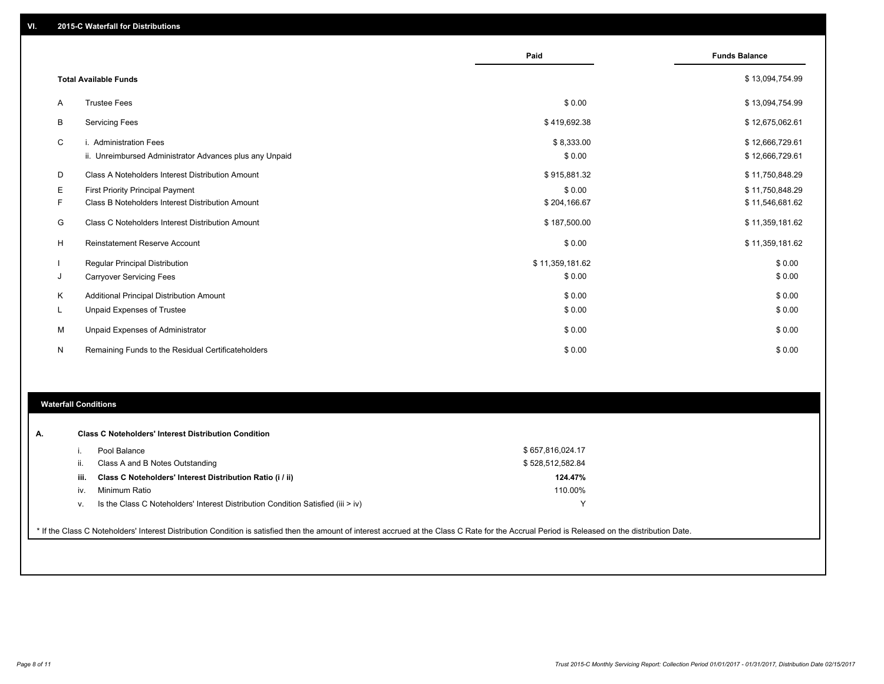|    |                                                         | Paid            | <b>Funds Balance</b> |
|----|---------------------------------------------------------|-----------------|----------------------|
|    |                                                         |                 |                      |
|    | <b>Total Available Funds</b>                            |                 | \$13,094,754.99      |
| A  | <b>Trustee Fees</b>                                     | \$0.00          | \$13,094,754.99      |
| B  | <b>Servicing Fees</b>                                   | \$419,692.38    | \$12,675,062.61      |
| C  | i. Administration Fees                                  | \$8,333.00      | \$12,666,729.61      |
|    | ii. Unreimbursed Administrator Advances plus any Unpaid | \$0.00          | \$12,666,729.61      |
| D  | Class A Noteholders Interest Distribution Amount        | \$915,881.32    | \$11,750,848.29      |
| Е  | <b>First Priority Principal Payment</b>                 | \$0.00          | \$11,750,848.29      |
| F  | Class B Noteholders Interest Distribution Amount        | \$204,166.67    | \$11,546,681.62      |
| G  | Class C Noteholders Interest Distribution Amount        | \$187,500.00    | \$11,359,181.62      |
| н  | <b>Reinstatement Reserve Account</b>                    | \$0.00          | \$11,359,181.62      |
|    | Regular Principal Distribution                          | \$11,359,181.62 | \$0.00               |
| J  | <b>Carryover Servicing Fees</b>                         | \$0.00          | \$0.00               |
| K  | Additional Principal Distribution Amount                | \$0.00          | \$0.00               |
| ч. | <b>Unpaid Expenses of Trustee</b>                       | \$0.00          | \$0.00               |
| М  | Unpaid Expenses of Administrator                        | \$0.00          | \$0.00               |
| N  | Remaining Funds to the Residual Certificateholders      | \$0.00          | \$0.00               |

#### **Waterfall Conditions**

|      | Pool Balance                                                                       | \$657,816,024.17 |
|------|------------------------------------------------------------------------------------|------------------|
| ii.  | Class A and B Notes Outstanding                                                    | \$528,512,582.84 |
| iii. | Class C Noteholders' Interest Distribution Ratio (i / ii)                          | 124.47%          |
| iv.  | Minimum Ratio                                                                      | 110.00%          |
| ν.   | Is the Class C Noteholders' Interest Distribution Condition Satisfied (iii $>$ iv) | v                |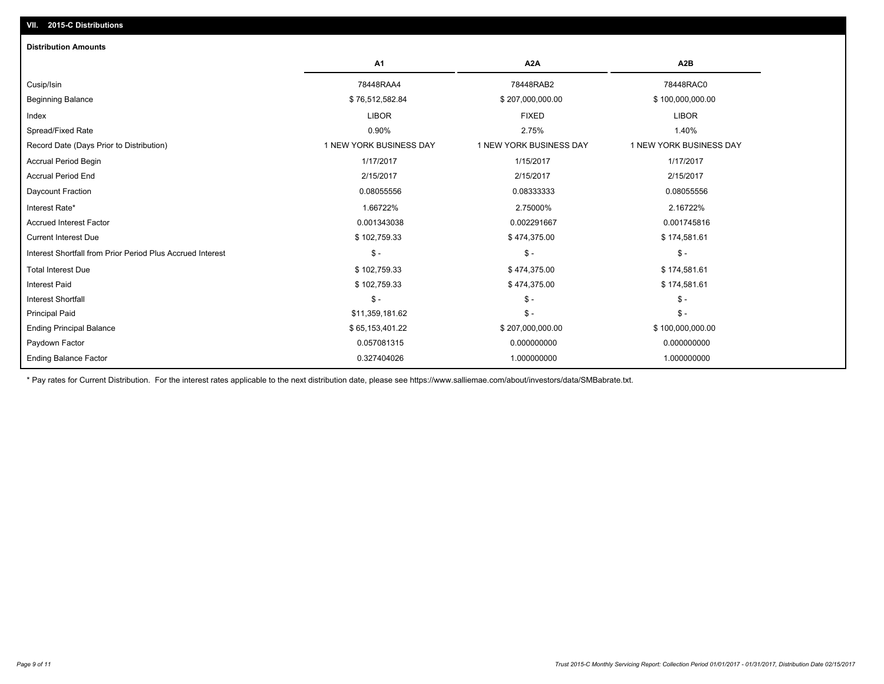| <b>Distribution Amounts</b>                                |                         |                         |                         |
|------------------------------------------------------------|-------------------------|-------------------------|-------------------------|
|                                                            | A1                      | A <sub>2</sub> A        | A <sub>2</sub> B        |
| Cusip/Isin                                                 | 78448RAA4               | 78448RAB2               | 78448RAC0               |
| <b>Beginning Balance</b>                                   | \$76,512,582.84         | \$207,000,000.00        | \$100,000,000.00        |
| Index                                                      | <b>LIBOR</b>            | <b>FIXED</b>            | <b>LIBOR</b>            |
| Spread/Fixed Rate                                          | 0.90%                   | 2.75%                   | 1.40%                   |
| Record Date (Days Prior to Distribution)                   | 1 NEW YORK BUSINESS DAY | 1 NEW YORK BUSINESS DAY | 1 NEW YORK BUSINESS DAY |
| <b>Accrual Period Begin</b>                                | 1/17/2017               | 1/15/2017               | 1/17/2017               |
| <b>Accrual Period End</b>                                  | 2/15/2017               | 2/15/2017               | 2/15/2017               |
| Daycount Fraction                                          | 0.08055556              | 0.08333333              | 0.08055556              |
| Interest Rate*                                             | 1.66722%                | 2.75000%                | 2.16722%                |
| <b>Accrued Interest Factor</b>                             | 0.001343038             | 0.002291667             | 0.001745816             |
| <b>Current Interest Due</b>                                | \$102,759.33            | \$474,375.00            | \$174,581.61            |
| Interest Shortfall from Prior Period Plus Accrued Interest | $\mathsf{\$}$ -         | $\mathsf{\$}$ -         | $\mathsf{\$}$ -         |
| <b>Total Interest Due</b>                                  | \$102,759.33            | \$474,375.00            | \$174,581.61            |
| <b>Interest Paid</b>                                       | \$102,759.33            | \$474,375.00            | \$174,581.61            |
| <b>Interest Shortfall</b>                                  | $\frac{2}{3}$ -         | $\frac{2}{3}$ -         | $\mathsf{\$}$ -         |
| <b>Principal Paid</b>                                      | \$11,359,181.62         | $S -$                   | $S -$                   |
| <b>Ending Principal Balance</b>                            | \$65,153,401.22         | \$207,000,000.00        | \$100,000,000.00        |
| Paydown Factor                                             | 0.057081315             | 0.000000000             | 0.000000000             |
| <b>Ending Balance Factor</b>                               | 0.327404026             | 1.000000000             | 1.000000000             |

\* Pay rates for Current Distribution. For the interest rates applicable to the next distribution date, please see https://www.salliemae.com/about/investors/data/SMBabrate.txt.

**VII. 2015-C Distributions**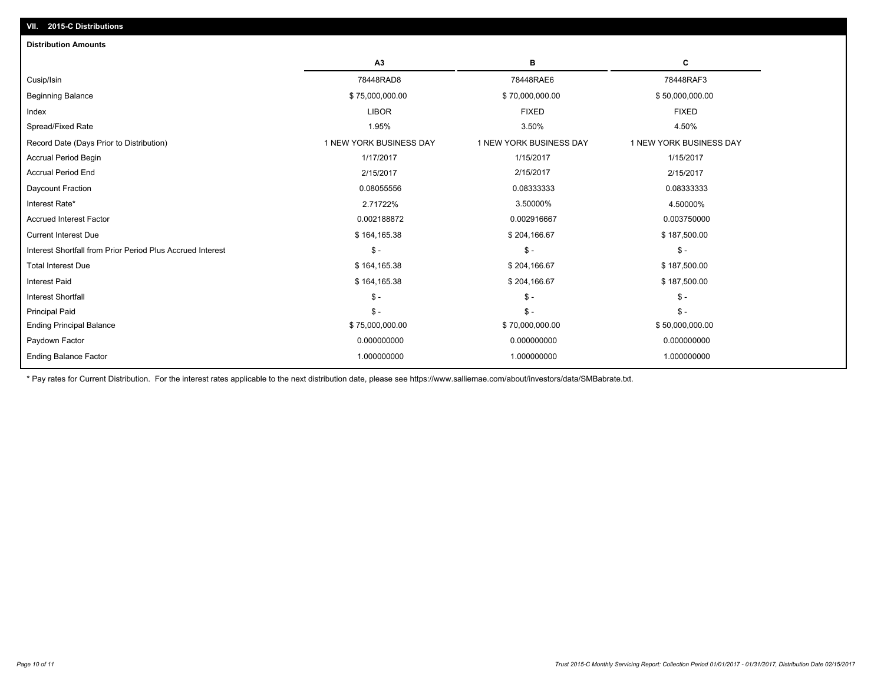| <b>Distribution Amounts</b>                                |                         |                         |                         |
|------------------------------------------------------------|-------------------------|-------------------------|-------------------------|
|                                                            | A3                      | в                       | С                       |
| Cusip/Isin                                                 | 78448RAD8               | 78448RAE6               | 78448RAF3               |
| <b>Beginning Balance</b>                                   | \$75,000,000.00         | \$70,000,000.00         | \$50,000,000.00         |
| Index                                                      | <b>LIBOR</b>            | <b>FIXED</b>            | <b>FIXED</b>            |
| Spread/Fixed Rate                                          | 1.95%                   | 3.50%                   | 4.50%                   |
| Record Date (Days Prior to Distribution)                   | 1 NEW YORK BUSINESS DAY | 1 NEW YORK BUSINESS DAY | 1 NEW YORK BUSINESS DAY |
| <b>Accrual Period Begin</b>                                | 1/17/2017               | 1/15/2017               | 1/15/2017               |
| <b>Accrual Period End</b>                                  | 2/15/2017               | 2/15/2017               | 2/15/2017               |
| Daycount Fraction                                          | 0.08055556              | 0.08333333              | 0.08333333              |
| Interest Rate*                                             | 2.71722%                | 3.50000%                | 4.50000%                |
| <b>Accrued Interest Factor</b>                             | 0.002188872             | 0.002916667             | 0.003750000             |
| <b>Current Interest Due</b>                                | \$164,165.38            | \$204,166.67            | \$187,500.00            |
| Interest Shortfall from Prior Period Plus Accrued Interest | $\mathsf{\$}$ -         | $\mathsf{\$}$ -         | \$ -                    |
| <b>Total Interest Due</b>                                  | \$164,165.38            | \$204,166.67            | \$187,500.00            |
| <b>Interest Paid</b>                                       | \$164,165.38            | \$204,166.67            | \$187,500.00            |
| <b>Interest Shortfall</b>                                  | $\mathsf{\$}$ -         | $\mathsf{\$}$ -         | $S -$                   |
| <b>Principal Paid</b>                                      | $\mathsf{\$}$ -         | $\mathsf S$ -           | $S -$                   |
| <b>Ending Principal Balance</b>                            | \$75,000,000.00         | \$70,000,000.00         | \$50,000,000.00         |
| Paydown Factor                                             | 0.000000000             | 0.000000000             | 0.000000000             |
| <b>Ending Balance Factor</b>                               | 1.000000000             | 1.000000000             | 1.000000000             |

\* Pay rates for Current Distribution. For the interest rates applicable to the next distribution date, please see https://www.salliemae.com/about/investors/data/SMBabrate.txt.

**VII. 2015-C Distributions**